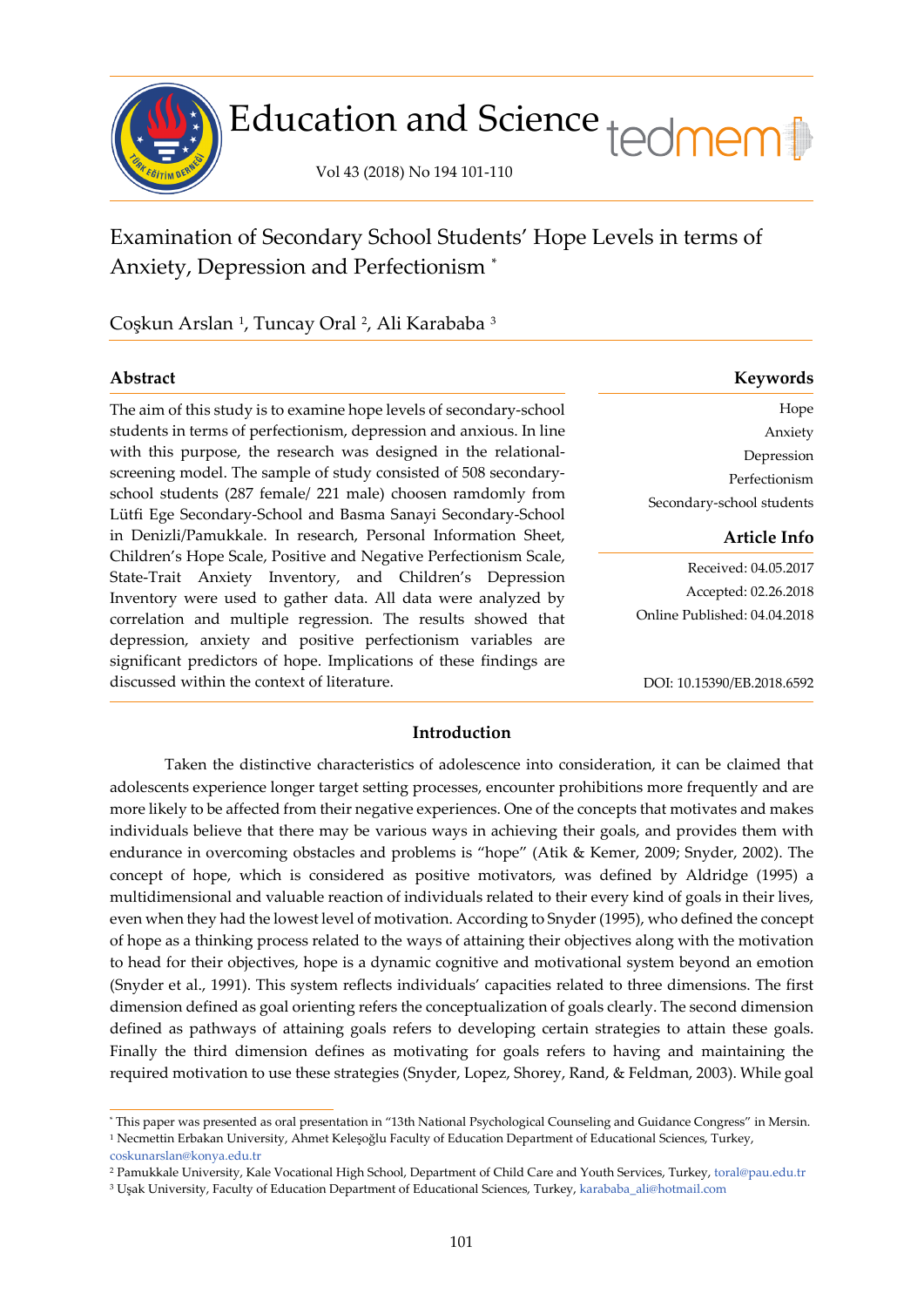

# Education and Science tedmem

Vol 43 (2018) No 194 101-110

## Examination of Secondary School Students' Hope Levels in terms of Anxiety, Depression and Perfectionism [\\*](#page-0-0)

Coşkun Arslan <sup>[1](#page-0-1)</sup>, Tuncay Oral <sup>[2](#page-0-2)</sup>, Ali Karababa <sup>[3](#page-0-3)</sup>

The aim of this study is to examine hope levels of secondary-school students in terms of perfectionism, depression and anxious. In line with this purpose, the research was designed in the relationalscreening model. The sample of study consisted of 508 secondaryschool students (287 female/ 221 male) choosen ramdomly from Lütfi Ege Secondary-School and Basma Sanayi Secondary-School in Denizli/Pamukkale. In research, Personal Information Sheet, Children's Hope Scale, Positive and Negative Perfectionism Scale, State-Trait Anxiety Inventory, and Children's Depression Inventory were used to gather data. All data were analyzed by correlation and multiple regression. The results showed that depression, anxiety and positive perfectionism variables are significant predictors of hope. Implications of these findings are discussed within the context of literature.

| Abstract | Keywords |
|----------|----------|
|          |          |

Hope Anxiety Depression Perfectionism Secondary-school students

#### **Article Info**

Received: 04.05.2017 Accepted: 02.26.2018 Online Published: 04.04.2018

DOI: 10.15390/EB.2018.6592

### **Introduction**

Taken the distinctive characteristics of adolescence into consideration, it can be claimed that adolescents experience longer target setting processes, encounter prohibitions more frequently and are more likely to be affected from their negative experiences. One of the concepts that motivates and makes individuals believe that there may be various ways in achieving their goals, and provides them with endurance in overcoming obstacles and problems is "hope" (Atik & Kemer, 2009; Snyder, 2002). The concept of hope, which is considered as positive motivators, was defined by Aldridge (1995) a multidimensional and valuable reaction of individuals related to their every kind of goals in their lives, even when they had the lowest level of motivation. According to Snyder (1995), who defined the concept of hope as a thinking process related to the ways of attaining their objectives along with the motivation to head for their objectives, hope is a dynamic cognitive and motivational system beyond an emotion (Snyder et al., 1991). This system reflects individuals' capacities related to three dimensions. The first dimension defined as goal orienting refers the conceptualization of goals clearly. The second dimension defined as pathways of attaining goals refers to developing certain strategies to attain these goals. Finally the third dimension defines as motivating for goals refers to having and maintaining the required motivation to use these strategies (Snyder, Lopez, Shorey, Rand, & Feldman, 2003). While goal

í

<span id="page-0-1"></span><span id="page-0-0"></span><sup>\*</sup> This paper was presented as oral presentation in "13th National Psychological Counseling and Guidance Congress" in Mersin. <sup>1</sup> Necmettin Erbakan University, Ahmet Keleşoğlu Faculty of Education Department of Educational Sciences, Turkey,

[coskunarslan@konya.edu.tr](mailto:coskunarslan@konya.edu.tr)

<span id="page-0-2"></span><sup>2</sup> Pamukkale University, Kale Vocational High School, Department of Child Care and Youth Services, Turkey, [toral@pau.edu.tr](mailto:toral@pau.edu.tr)

<span id="page-0-3"></span><sup>3</sup> Uşak University, Faculty of Education Department of Educational Sciences, Turkey, [karababa\\_ali@hotmail.com](mailto:karababa_ali@hotmail.com)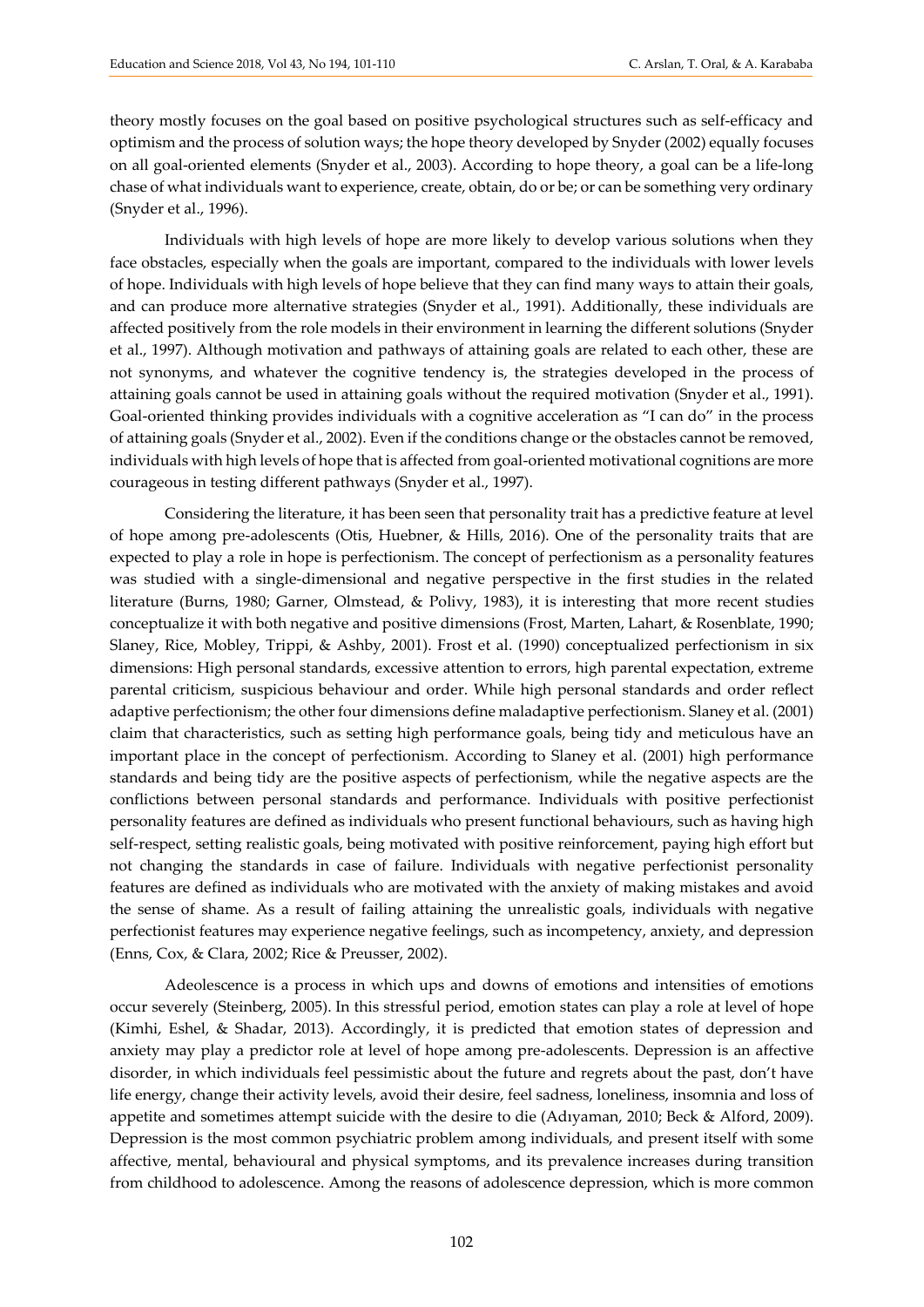theory mostly focuses on the goal based on positive psychological structures such as self-efficacy and optimism and the process of solution ways; the hope theory developed by Snyder (2002) equally focuses on all goal-oriented elements (Snyder et al., 2003). According to hope theory, a goal can be a life-long chase of what individuals want to experience, create, obtain, do or be; or can be something very ordinary (Snyder et al., 1996).

Individuals with high levels of hope are more likely to develop various solutions when they face obstacles, especially when the goals are important, compared to the individuals with lower levels of hope. Individuals with high levels of hope believe that they can find many ways to attain their goals, and can produce more alternative strategies (Snyder et al., 1991). Additionally, these individuals are affected positively from the role models in their environment in learning the different solutions (Snyder et al., 1997). Although motivation and pathways of attaining goals are related to each other, these are not synonyms, and whatever the cognitive tendency is, the strategies developed in the process of attaining goals cannot be used in attaining goals without the required motivation (Snyder et al., 1991). Goal-oriented thinking provides individuals with a cognitive acceleration as "I can do" in the process of attaining goals (Snyder et al., 2002). Even if the conditions change or the obstacles cannot be removed, individuals with high levels of hope that is affected from goal-oriented motivational cognitions are more courageous in testing different pathways (Snyder et al., 1997).

Considering the literature, it has been seen that personality trait has a predictive feature at level of hope among pre-adolescents (Otis, Huebner, & Hills, 2016). One of the personality traits that are expected to play a role in hope is perfectionism. The concept of perfectionism as a personality features was studied with a single-dimensional and negative perspective in the first studies in the related literature (Burns, 1980; Garner, Olmstead, & Polivy, 1983), it is interesting that more recent studies conceptualize it with both negative and positive dimensions (Frost, Marten, Lahart, & Rosenblate, 1990; Slaney, Rice, Mobley, Trippi, & Ashby, 2001). Frost et al. (1990) conceptualized perfectionism in six dimensions: High personal standards, excessive attention to errors, high parental expectation, extreme parental criticism, suspicious behaviour and order. While high personal standards and order reflect adaptive perfectionism; the other four dimensions define maladaptive perfectionism. Slaney et al. (2001) claim that characteristics, such as setting high performance goals, being tidy and meticulous have an important place in the concept of perfectionism. According to Slaney et al. (2001) high performance standards and being tidy are the positive aspects of perfectionism, while the negative aspects are the conflictions between personal standards and performance. Individuals with positive perfectionist personality features are defined as individuals who present functional behaviours, such as having high self-respect, setting realistic goals, being motivated with positive reinforcement, paying high effort but not changing the standards in case of failure. Individuals with negative perfectionist personality features are defined as individuals who are motivated with the anxiety of making mistakes and avoid the sense of shame. As a result of failing attaining the unrealistic goals, individuals with negative perfectionist features may experience negative feelings, such as incompetency, anxiety, and depression (Enns, Cox, & Clara, 2002; Rice & Preusser, 2002).

Adeolescence is a process in which ups and downs of emotions and intensities of emotions occur severely (Steinberg, 2005). In this stressful period, emotion states can play a role at level of hope (Kimhi, Eshel, & Shadar, 2013). Accordingly, it is predicted that emotion states of depression and anxiety may play a predictor role at level of hope among pre-adolescents. Depression is an affective disorder, in which individuals feel pessimistic about the future and regrets about the past, don't have life energy, change their activity levels, avoid their desire, feel sadness, loneliness, insomnia and loss of appetite and sometimes attempt suicide with the desire to die (Adıyaman, 2010; Beck & Alford, 2009). Depression is the most common psychiatric problem among individuals, and present itself with some affective, mental, behavioural and physical symptoms, and its prevalence increases during transition from childhood to adolescence. Among the reasons of adolescence depression, which is more common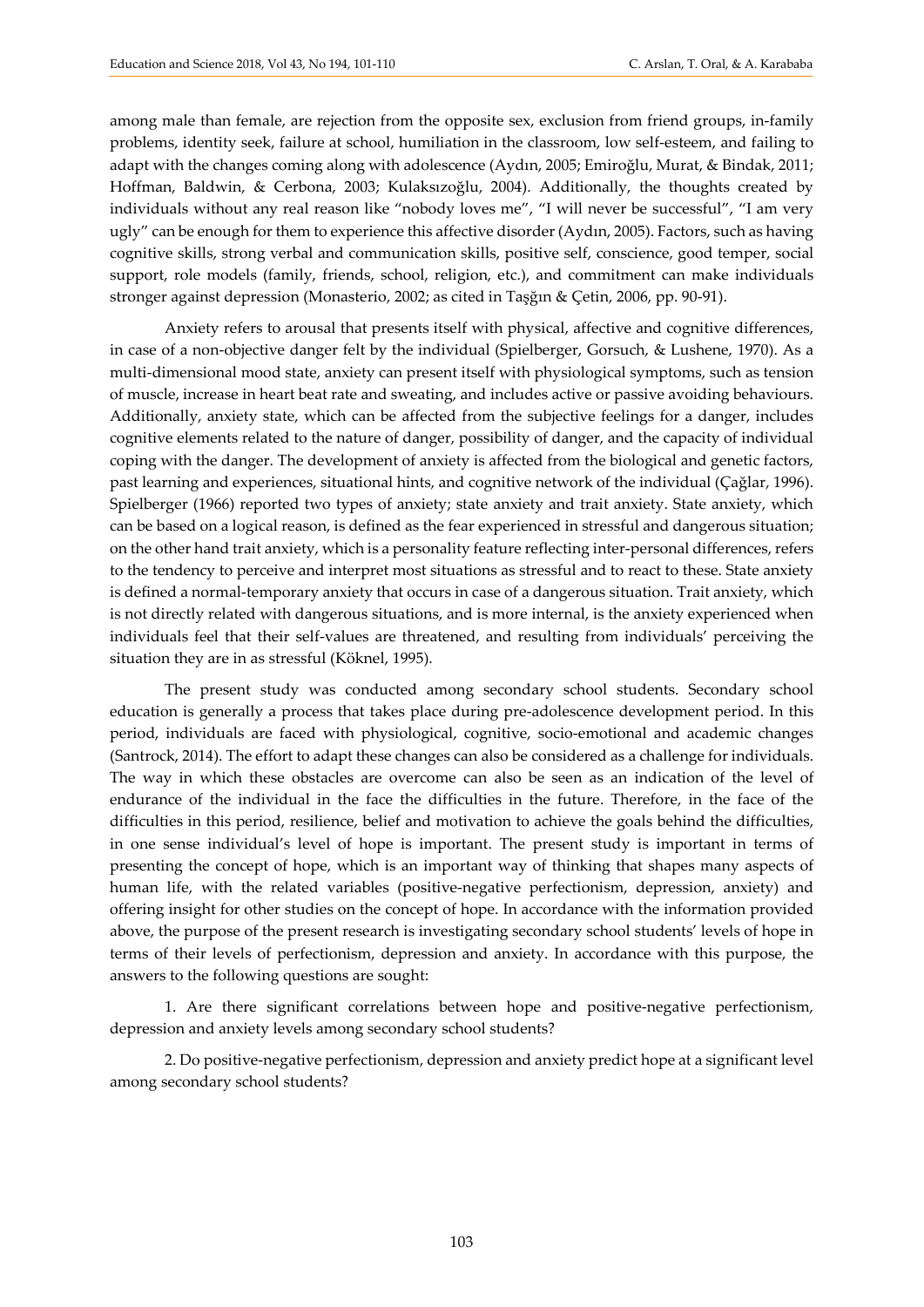among male than female, are rejection from the opposite sex, exclusion from friend groups, in-family problems, identity seek, failure at school, humiliation in the classroom, low self-esteem, and failing to adapt with the changes coming along with adolescence (Aydın, 2005; Emiroğlu, Murat, & Bindak, 2011; Hoffman, Baldwin, & Cerbona, 2003; Kulaksızoğlu, 2004). Additionally, the thoughts created by individuals without any real reason like "nobody loves me", "I will never be successful", "I am very ugly" can be enough for them to experience this affective disorder (Aydın, 2005). Factors, such as having cognitive skills, strong verbal and communication skills, positive self, conscience, good temper, social support, role models (family, friends, school, religion, etc.), and commitment can make individuals stronger against depression (Monasterio, 2002; as cited in Taşğın & Çetin, 2006, pp. 90-91).

Anxiety refers to arousal that presents itself with physical, affective and cognitive differences, in case of a non-objective danger felt by the individual (Spielberger, Gorsuch, & Lushene, 1970). As a multi-dimensional mood state, anxiety can present itself with physiological symptoms, such as tension of muscle, increase in heart beat rate and sweating, and includes active or passive avoiding behaviours. Additionally, anxiety state, which can be affected from the subjective feelings for a danger, includes cognitive elements related to the nature of danger, possibility of danger, and the capacity of individual coping with the danger. The development of anxiety is affected from the biological and genetic factors, past learning and experiences, situational hints, and cognitive network of the individual (Çağlar, 1996). Spielberger (1966) reported two types of anxiety; state anxiety and trait anxiety. State anxiety, which can be based on a logical reason, is defined as the fear experienced in stressful and dangerous situation; on the other hand trait anxiety, which is a personality feature reflecting inter-personal differences, refers to the tendency to perceive and interpret most situations as stressful and to react to these. State anxiety is defined a normal-temporary anxiety that occurs in case of a dangerous situation. Trait anxiety, which is not directly related with dangerous situations, and is more internal, is the anxiety experienced when individuals feel that their self-values are threatened, and resulting from individuals' perceiving the situation they are in as stressful (Köknel, 1995).

The present study was conducted among secondary school students. Secondary school education is generally a process that takes place during pre-adolescence development period. In this period, individuals are faced with physiological, cognitive, socio-emotional and academic changes (Santrock, 2014). The effort to adapt these changes can also be considered as a challenge for individuals. The way in which these obstacles are overcome can also be seen as an indication of the level of endurance of the individual in the face the difficulties in the future. Therefore, in the face of the difficulties in this period, resilience, belief and motivation to achieve the goals behind the difficulties, in one sense individual's level of hope is important. The present study is important in terms of presenting the concept of hope, which is an important way of thinking that shapes many aspects of human life, with the related variables (positive-negative perfectionism, depression, anxiety) and offering insight for other studies on the concept of hope. In accordance with the information provided above, the purpose of the present research is investigating secondary school students' levels of hope in terms of their levels of perfectionism, depression and anxiety. In accordance with this purpose, the answers to the following questions are sought:

1. Are there significant correlations between hope and positive-negative perfectionism, depression and anxiety levels among secondary school students?

2. Do positive-negative perfectionism, depression and anxiety predict hope at a significant level among secondary school students?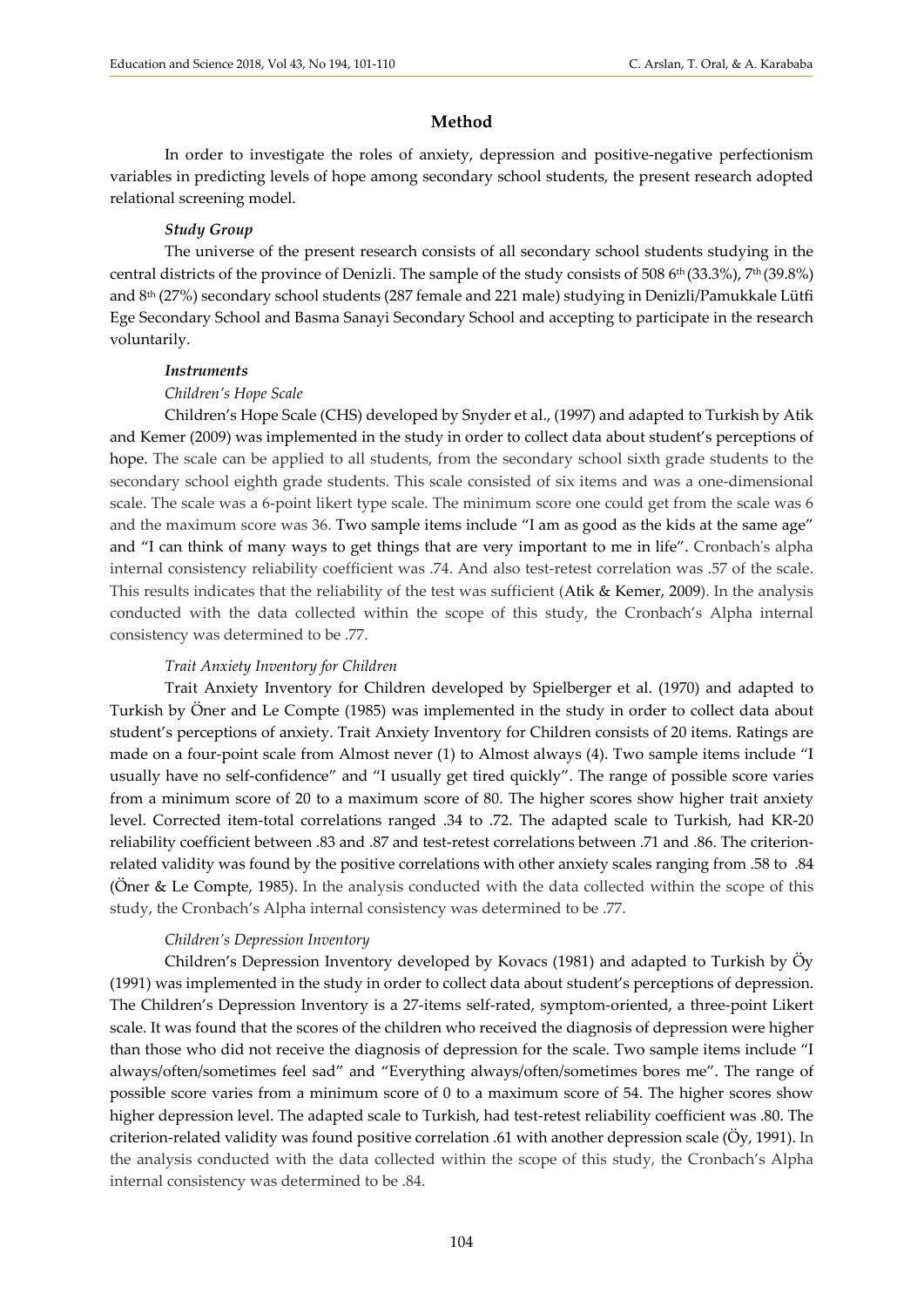#### **Method**

In order to investigate the roles of anxiety, depression and positive-negative perfectionism variables in predicting levels of hope among secondary school students, the present research adopted relational screening model.

#### *Study Group*

The universe of the present research consists of all secondary school students studying in the central districts of the province of Denizli. The sample of the study consists of 508 6<sup>th</sup> (33.3%), 7<sup>th</sup> (39.8%) and 8th (27%) secondary school students (287 female and 221 male) studying in Denizli/Pamukkale Lütfi Ege Secondary School and Basma Sanayi Secondary School and accepting to participate in the research voluntarily.

#### *Instruments*

#### *Children's Hope Scale*

Children's Hope Scale (CHS) developed by Snyder et al., (1997) and adapted to Turkish by Atik and Kemer (2009) was implemented in the study in order to collect data about student's perceptions of hope. The scale can be applied to all students, from the secondary school sixth grade students to the secondary school eighth grade students. This scale consisted of six items and was a one-dimensional scale. The scale was a 6-point likert type scale. The minimum score one could get from the scale was 6 and the maximum score was 36. Two sample items include "I am as good as the kids at the same age" and "I can think of many ways to get things that are very important to me in life". Cronbach's alpha internal consistency reliability coefficient was .74. And also test-retest correlation was .57 of the scale. This results indicates that the reliability of the test was sufficient (Atik & Kemer, 2009). In the analysis conducted with the data collected within the scope of this study, the Cronbach's Alpha internal consistency was determined to be .77.

#### *Trait Anxiety Inventory for Children*

Trait Anxiety Inventory for Children developed by Spielberger et al. (1970) and adapted to Turkish by Öner and Le Compte (1985) was implemented in the study in order to collect data about student's perceptions of anxiety. Trait Anxiety Inventory for Children consists of 20 items. Ratings are made on a four-point scale from Almost never (1) to Almost always (4). Two sample items include "I usually have no self-confidence" and "I usually get tired quickly". The range of possible score varies from a minimum score of 20 to a maximum score of 80. The higher scores show higher trait anxiety level. Corrected item-total correlations ranged .34 to .72. The adapted scale to Turkish, had KR-20 reliability coefficient between .83 and .87 and test-retest correlations between .71 and .86. The criterionrelated validity was found by the positive correlations with other anxiety scales ranging from .58 to .84 (Öner & Le Compte, 1985). In the analysis conducted with the data collected within the scope of this study, the Cronbach's Alpha internal consistency was determined to be .77.

#### *Children's Depression Inventory*

Children's Depression Inventory developed by Kovacs (1981) and adapted to Turkish by Öy (1991) was implemented in the study in order to collect data about student's perceptions of depression. The Children's Depression Inventory is a 27-items self-rated, symptom-oriented, a three-point Likert scale. It was found that the scores of the children who received the diagnosis of depression were higher than those who did not receive the diagnosis of depression for the scale. Two sample items include "I always/often/sometimes feel sad" and "Everything always/often/sometimes bores me". The range of possible score varies from a minimum score of 0 to a maximum score of 54. The higher scores show higher depression level. The adapted scale to Turkish, had test-retest reliability coefficient was .80. The criterion-related validity was found positive correlation .61 with another depression scale (Öy, 1991). In the analysis conducted with the data collected within the scope of this study, the Cronbach's Alpha internal consistency was determined to be .84.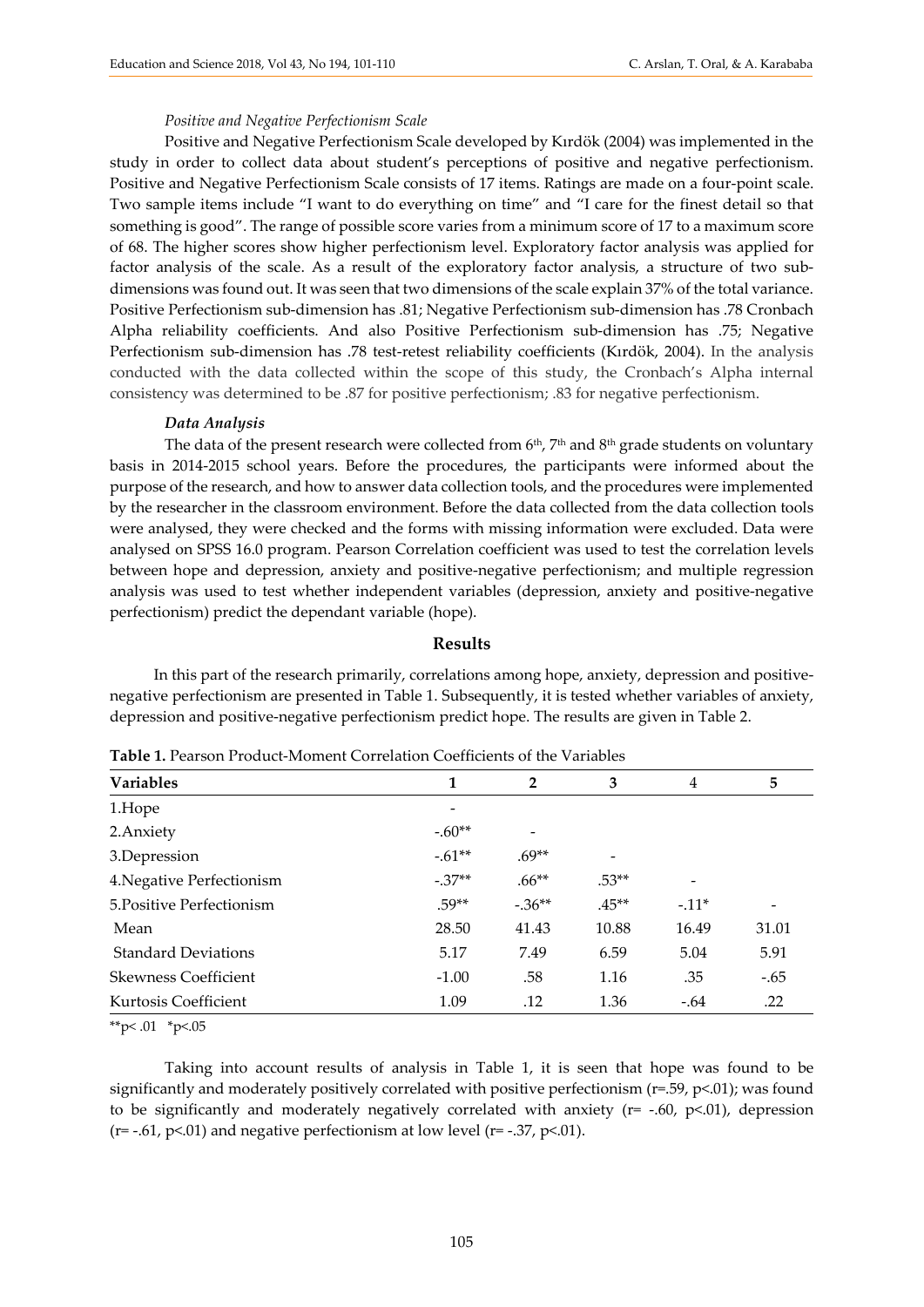#### *Positive and Negative Perfectionism Scale*

Positive and Negative Perfectionism Scale developed by Kırdök (2004) was implemented in the study in order to collect data about student's perceptions of positive and negative perfectionism. Positive and Negative Perfectionism Scale consists of 17 items. Ratings are made on a four-point scale. Two sample items include "I want to do everything on time" and "I care for the finest detail so that something is good". The range of possible score varies from a minimum score of 17 to a maximum score of 68. The higher scores show higher perfectionism level. Exploratory factor analysis was applied for factor analysis of the scale. As a result of the exploratory factor analysis, a structure of two subdimensions was found out. It was seen that two dimensions of the scale explain 37% of the total variance. Positive Perfectionism sub-dimension has .81; Negative Perfectionism sub-dimension has .78 Cronbach Alpha reliability coefficients. And also Positive Perfectionism sub-dimension has .75; Negative Perfectionism sub-dimension has .78 test-retest reliability coefficients (Kırdök, 2004). In the analysis conducted with the data collected within the scope of this study, the Cronbach's Alpha internal consistency was determined to be .87 for positive perfectionism; .83 for negative perfectionism.

#### *Data Analysis*

The data of the present research were collected from  $6<sup>th</sup>$ ,  $7<sup>th</sup>$  and  $8<sup>th</sup>$  grade students on voluntary basis in 2014-2015 school years. Before the procedures, the participants were informed about the purpose of the research, and how to answer data collection tools, and the procedures were implemented by the researcher in the classroom environment. Before the data collected from the data collection tools were analysed, they were checked and the forms with missing information were excluded. Data were analysed on SPSS 16.0 program. Pearson Correlation coefficient was used to test the correlation levels between hope and depression, anxiety and positive-negative perfectionism; and multiple regression analysis was used to test whether independent variables (depression, anxiety and positive-negative perfectionism) predict the dependant variable (hope).

#### **Results**

In this part of the research primarily, correlations among hope, anxiety, depression and positivenegative perfectionism are presented in Table 1. Subsequently, it is tested whether variables of anxiety, depression and positive-negative perfectionism predict hope. The results are given in Table 2.

| <b>Variables</b>            | 1        | 2        | 3       | 4      | 5      |  |  |  |  |
|-----------------------------|----------|----------|---------|--------|--------|--|--|--|--|
| 1.Hope                      |          |          |         |        |        |  |  |  |  |
| 2. Anxiety                  | $-.60**$ |          |         |        |        |  |  |  |  |
| 3.Depression                | $-.61**$ | $.69**$  | -       |        |        |  |  |  |  |
| 4. Negative Perfectionism   | $-.37**$ | $.66**$  | $.53**$ |        |        |  |  |  |  |
| 5. Positive Perfectionism   | $.59**$  | $-.36**$ | $.45**$ | $-11*$ |        |  |  |  |  |
| Mean                        | 28.50    | 41.43    | 10.88   | 16.49  | 31.01  |  |  |  |  |
| <b>Standard Deviations</b>  | 5.17     | 7.49     | 6.59    | 5.04   | 5.91   |  |  |  |  |
| <b>Skewness Coefficient</b> | $-1.00$  | .58      | 1.16    | .35    | $-.65$ |  |  |  |  |
| Kurtosis Coefficient        | 1.09     | .12      | 1.36    | $-.64$ | .22    |  |  |  |  |

**Table 1.** Pearson Product-Moment Correlation Coefficients of the Variables

\*\*p $< 0.01$  \*p $< 0.05$ 

Taking into account results of analysis in Table 1, it is seen that hope was found to be significantly and moderately positively correlated with positive perfectionism (r=.59, p<.01); was found to be significantly and moderately negatively correlated with anxiety ( $r = -0.60$ ,  $p < 0.01$ ), depression (r= -.61, p<.01) and negative perfectionism at low level (r= -.37, p<.01).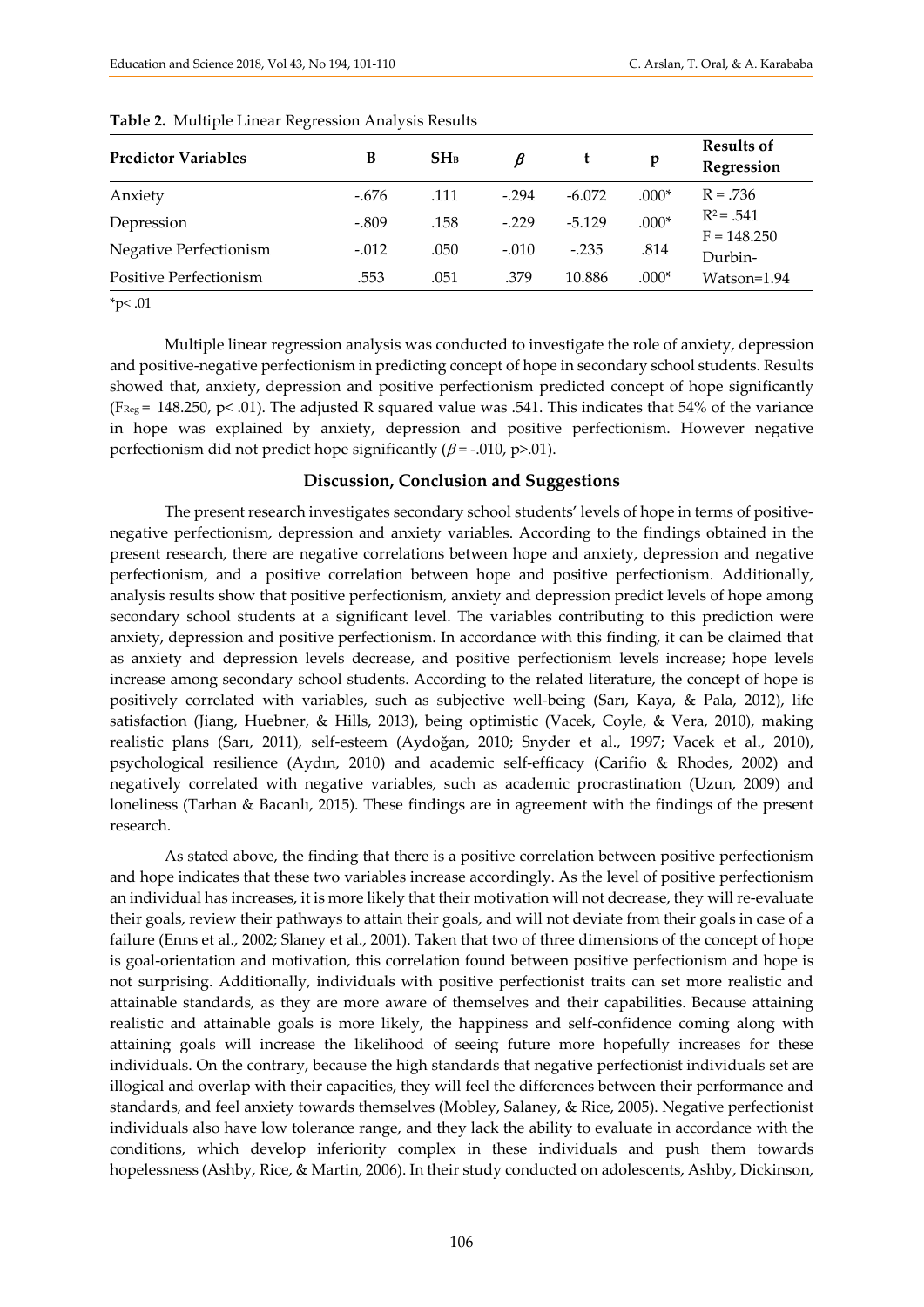| <b>Predictor Variables</b>    | B       | SH <sub>B</sub> | В       |          | p       | <b>Results of</b><br>Regression |
|-------------------------------|---------|-----------------|---------|----------|---------|---------------------------------|
| Anxiety                       | $-.676$ | .111            | $-.294$ | $-6.072$ | $.000*$ | $R = .736$                      |
| Depression                    | $-.809$ | .158            | $-229$  | $-5.129$ | $.000*$ | $R^2 = .541$<br>$F = 148.250$   |
| Negative Perfectionism        | $-.012$ | .050            | $-.010$ | $-.235$  | .814    | Durbin-                         |
| <b>Positive Perfectionism</b> | .553    | .051            | .379    | 10.886   | $.000*$ | Watson=1.94                     |

#### **Table 2.** Multiple Linear Regression Analysis Results

 $*_{p<.01}$ 

Multiple linear regression analysis was conducted to investigate the role of anxiety, depression and positive-negative perfectionism in predicting concept of hope in secondary school students. Results showed that, anxiety, depression and positive perfectionism predicted concept of hope significantly (F<sub>Reg</sub> = 148.250, p < .01). The adjusted R squared value was .541. This indicates that 54% of the variance in hope was explained by anxiety, depression and positive perfectionism. However negative perfectionism did not predict hope significantly ( $\beta$  = -.010, p>.01).

#### **Discussion, Conclusion and Suggestions**

The present research investigates secondary school students' levels of hope in terms of positivenegative perfectionism, depression and anxiety variables. According to the findings obtained in the present research, there are negative correlations between hope and anxiety, depression and negative perfectionism, and a positive correlation between hope and positive perfectionism. Additionally, analysis results show that positive perfectionism, anxiety and depression predict levels of hope among secondary school students at a significant level. The variables contributing to this prediction were anxiety, depression and positive perfectionism. In accordance with this finding, it can be claimed that as anxiety and depression levels decrease, and positive perfectionism levels increase; hope levels increase among secondary school students. According to the related literature, the concept of hope is positively correlated with variables, such as subjective well-being (Sarı, Kaya, & Pala, 2012), life satisfaction (Jiang, Huebner, & Hills, 2013), being optimistic (Vacek, Coyle, & Vera, 2010), making realistic plans (Sarı, 2011), self-esteem (Aydoğan, 2010; Snyder et al., 1997; Vacek et al., 2010), psychological resilience (Aydın, 2010) and academic self-efficacy (Carifio & Rhodes, 2002) and negatively correlated with negative variables, such as academic procrastination (Uzun, 2009) and loneliness (Tarhan & Bacanlı, 2015). These findings are in agreement with the findings of the present research.

As stated above, the finding that there is a positive correlation between positive perfectionism and hope indicates that these two variables increase accordingly. As the level of positive perfectionism an individual has increases, it is more likely that their motivation will not decrease, they will re-evaluate their goals, review their pathways to attain their goals, and will not deviate from their goals in case of a failure (Enns et al., 2002; Slaney et al., 2001). Taken that two of three dimensions of the concept of hope is goal-orientation and motivation, this correlation found between positive perfectionism and hope is not surprising. Additionally, individuals with positive perfectionist traits can set more realistic and attainable standards, as they are more aware of themselves and their capabilities. Because attaining realistic and attainable goals is more likely, the happiness and self-confidence coming along with attaining goals will increase the likelihood of seeing future more hopefully increases for these individuals. On the contrary, because the high standards that negative perfectionist individuals set are illogical and overlap with their capacities, they will feel the differences between their performance and standards, and feel anxiety towards themselves (Mobley, Salaney, & Rice, 2005). Negative perfectionist individuals also have low tolerance range, and they lack the ability to evaluate in accordance with the conditions, which develop inferiority complex in these individuals and push them towards hopelessness (Ashby, Rice, & Martin, 2006). In their study conducted on adolescents, Ashby, Dickinson,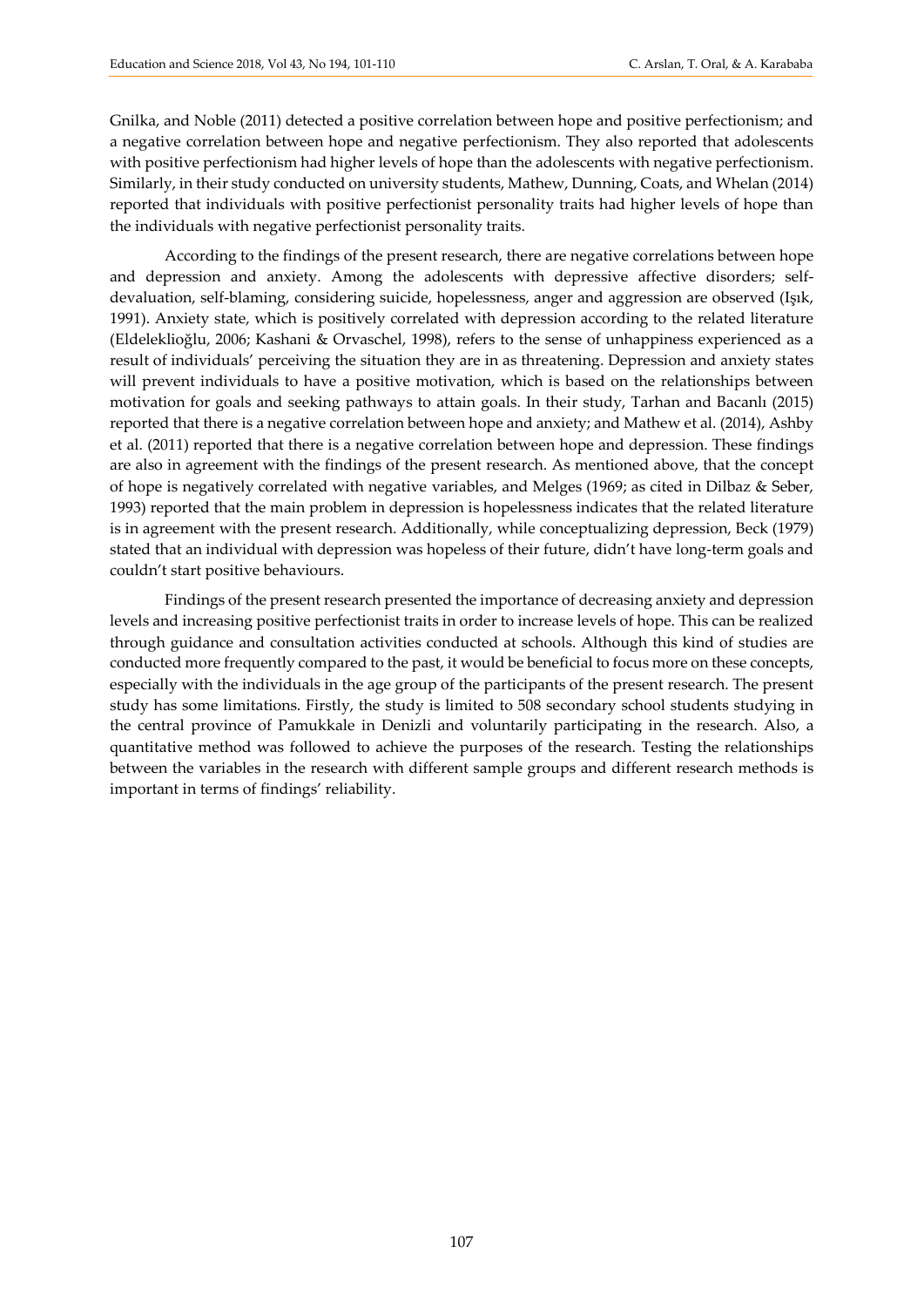Gnilka, and Noble (2011) detected a positive correlation between hope and positive perfectionism; and a negative correlation between hope and negative perfectionism. They also reported that adolescents with positive perfectionism had higher levels of hope than the adolescents with negative perfectionism. Similarly, in their study conducted on university students, Mathew, Dunning, Coats, and Whelan (2014) reported that individuals with positive perfectionist personality traits had higher levels of hope than the individuals with negative perfectionist personality traits.

According to the findings of the present research, there are negative correlations between hope and depression and anxiety. Among the adolescents with depressive affective disorders; selfdevaluation, self-blaming, considering suicide, hopelessness, anger and aggression are observed (Işık, 1991). Anxiety state, which is positively correlated with depression according to the related literature (Eldeleklioğlu, 2006; Kashani & Orvaschel, 1998), refers to the sense of unhappiness experienced as a result of individuals' perceiving the situation they are in as threatening. Depression and anxiety states will prevent individuals to have a positive motivation, which is based on the relationships between motivation for goals and seeking pathways to attain goals. In their study, Tarhan and Bacanlı (2015) reported that there is a negative correlation between hope and anxiety; and Mathew et al. (2014), Ashby et al. (2011) reported that there is a negative correlation between hope and depression. These findings are also in agreement with the findings of the present research. As mentioned above, that the concept of hope is negatively correlated with negative variables, and Melges (1969; as cited in Dilbaz & Seber, 1993) reported that the main problem in depression is hopelessness indicates that the related literature is in agreement with the present research. Additionally, while conceptualizing depression, Beck (1979) stated that an individual with depression was hopeless of their future, didn't have long-term goals and couldn't start positive behaviours.

Findings of the present research presented the importance of decreasing anxiety and depression levels and increasing positive perfectionist traits in order to increase levels of hope. This can be realized through guidance and consultation activities conducted at schools. Although this kind of studies are conducted more frequently compared to the past, it would be beneficial to focus more on these concepts, especially with the individuals in the age group of the participants of the present research. The present study has some limitations. Firstly, the study is limited to 508 secondary school students studying in the central province of Pamukkale in Denizli and voluntarily participating in the research. Also, a quantitative method was followed to achieve the purposes of the research. Testing the relationships between the variables in the research with different sample groups and different research methods is important in terms of findings' reliability.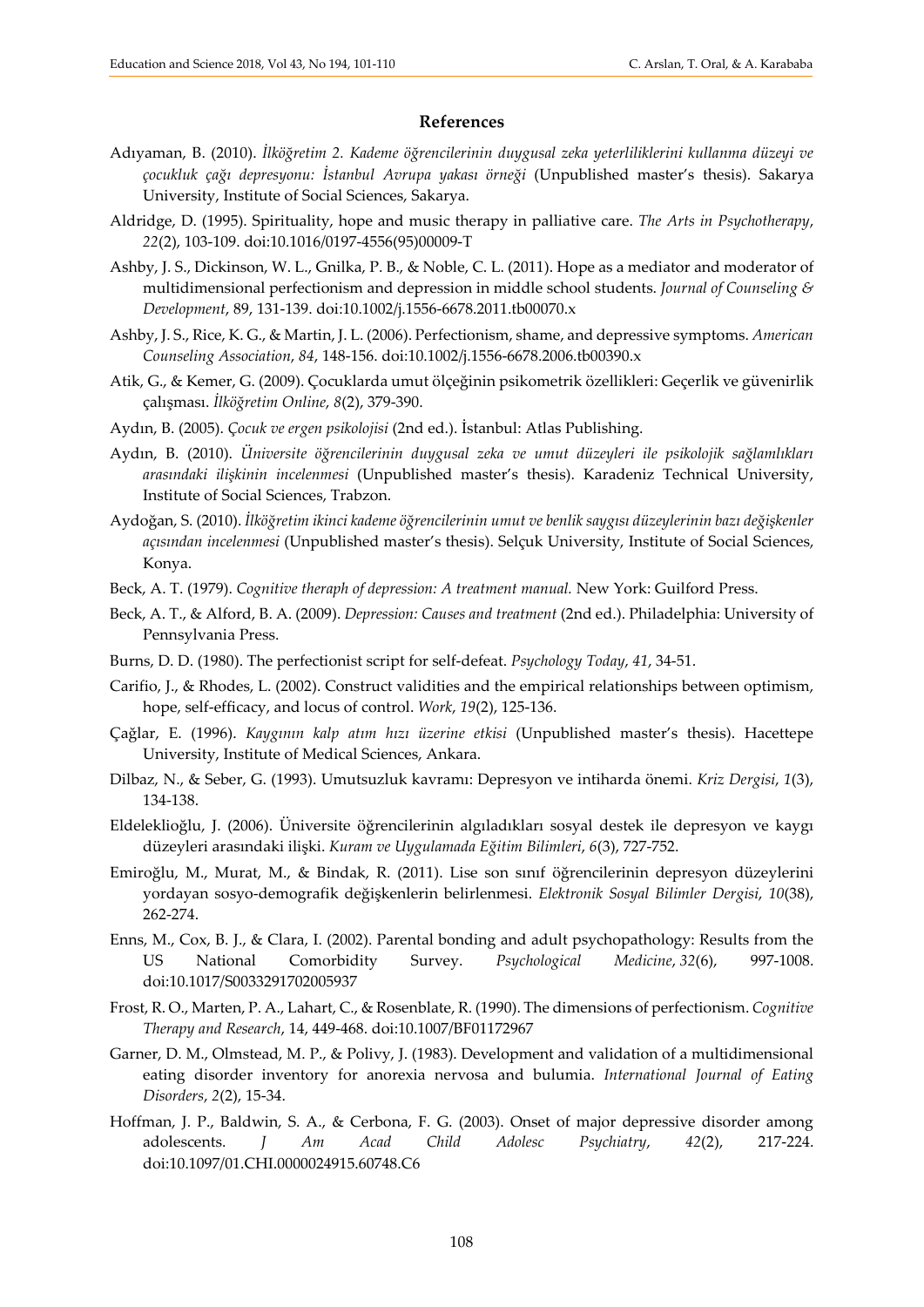#### **References**

- Adıyaman, B. (2010). *İlköğretim 2. Kademe öğrencilerinin duygusal zeka yeterliliklerini kullanma düzeyi ve çocukluk çağı depresyonu: İstanbul Avrupa yakası örneği* (Unpublished master's thesis). Sakarya University, Institute of Social Sciences, Sakarya.
- Aldridge, D. (1995). Spirituality, hope and music therapy in palliative care. *The Arts in Psychotherapy*, *22*(2), 103-109. doi:10.1016/0197-4556(95)00009-T
- Ashby, J. S., Dickinson, W. L., Gnilka, P. B., & Noble, C. L. (2011). Hope as a mediator and moderator of multidimensional perfectionism and depression in middle school students. *Journal of Counseling & Development*, 89, 131-139. doi:10.1002/j.1556-6678.2011.tb00070.x
- Ashby, J. S., Rice, K. G., & Martin, J. L. (2006). Perfectionism, shame, and depressive symptoms. *American Counseling Association*, *84*, 148-156. doi:10.1002/j.1556-6678.2006.tb00390.x
- Atik, G., & Kemer, G. (2009). Çocuklarda umut ölçeğinin psikometrik özellikleri: Geçerlik ve güvenirlik çalışması. *İlköğretim Online*, *8*(2), 379-390.
- Aydın, B. (2005). *Çocuk ve ergen psikolojisi* (2nd ed.). İstanbul: Atlas Publishing.
- Aydın, B. (2010). *Üniversite öğrencilerinin duygusal zeka ve umut düzeyleri ile psikolojik sağlamlıkları arasındaki ilişkinin incelenmesi* (Unpublished master's thesis). Karadeniz Technical University, Institute of Social Sciences, Trabzon.
- Aydoğan, S. (2010). *İlköğretim ikinci kademe öğrencilerinin umut ve benlik saygısı düzeylerinin bazı değişkenler açısından incelenmesi* (Unpublished master's thesis). Selçuk University, Institute of Social Sciences, Konya.
- Beck, A. T. (1979). *Cognitive theraph of depression: A treatment manual.* New York: Guilford Press.
- Beck, A. T., & Alford, B. A. (2009). *Depression: Causes and treatment* (2nd ed.). Philadelphia: University of Pennsylvania Press.
- Burns, D. D. (1980). The perfectionist script for self-defeat. *Psychology Today*, *41*, 34-51.
- Carifio, J., & Rhodes, L. (2002). Construct validities and the empirical relationships between optimism, hope, self-efficacy, and locus of control. *Work*, *19*(2), 125-136.
- Çağlar, E. (1996). *Kaygının kalp atım hızı üzerine etkisi* (Unpublished master's thesis). Hacettepe University, Institute of Medical Sciences, Ankara.
- Dilbaz, N., & Seber, G. (1993). Umutsuzluk kavramı: Depresyon ve intiharda önemi. *Kriz Dergisi*, *1*(3), 134-138.
- Eldeleklioğlu, J. (2006). Üniversite öğrencilerinin algıladıkları sosyal destek ile depresyon ve kaygı düzeyleri arasındaki ilişki. *Kuram ve Uygulamada Eğitim Bilimleri*, *6*(3), 727-752.
- Emiroğlu, M., Murat, M., & Bindak, R. (2011). Lise son sınıf öğrencilerinin depresyon düzeylerini yordayan sosyo-demografik değişkenlerin belirlenmesi. *Elektronik Sosyal Bilimler Dergisi*, *10*(38), 262-274.
- Enns, M., Cox, B. J., & Clara, I. (2002). Parental bonding and adult psychopathology: Results from the US National Comorbidity Survey. *Psychological Medicine*, *32*(6), 997-1008. doi:10.1017/S0033291702005937
- Frost, R. O., Marten, P. A., Lahart, C., & Rosenblate, R. (1990). The dimensions of perfectionism. *Cognitive Therapy and Research*, 14, 449-468. doi:10.1007/BF01172967
- Garner, D. M., Olmstead, M. P., & Polivy, J. (1983). Development and validation of a multidimensional eating disorder inventory for anorexia nervosa and bulumia. *International Journal of Eating Disorders*, *2*(2), 15-34.
- Hoffman, J. P., Baldwin, S. A., & Cerbona, F. G. (2003). Onset of major depressive disorder among adolescents. *J Am Acad Child Adolesc Psychiatry*, *42*(2), 217-224. doi:10.1097/01.CHI.0000024915.60748.C6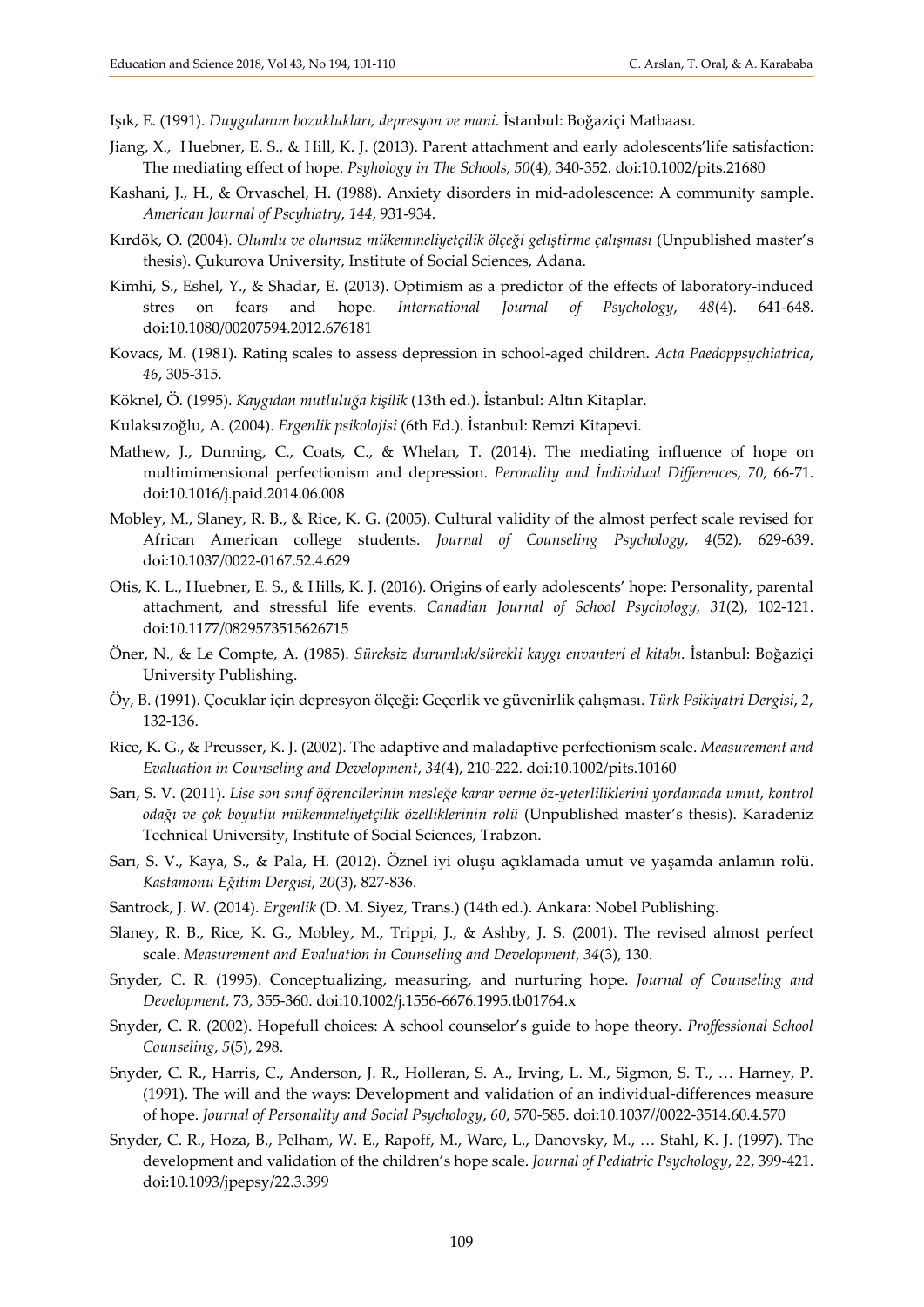Işık, E. (1991). *Duygulanım bozuklukları, depresyon ve mani.* İstanbul: Boğaziçi Matbaası.

- Jiang, X., Huebner, E. S., & Hill, K. J. (2013). Parent attachment and early adolescents'life satisfaction: The mediating effect of hope. *Psyhology in The Schools*, *50*(4), 340-352. doi:10.1002/pits.21680
- Kashani, J., H., & Orvaschel, H. (1988). Anxiety disorders in mid-adolescence: A community sample. *American Journal of Pscyhiatry*, *144*, 931-934.
- Kırdök, O. (2004). *Olumlu ve olumsuz mükemmeliyetçilik ölçeği geliştirme çalışması* (Unpublished master's thesis). Çukurova University, Institute of Social Sciences, Adana.
- Kimhi, S., Eshel, Y., & Shadar, E. (2013). Optimism as a predictor of the effects of laboratory-induced stres on fears and hope. *International Journal of Psychology*, *48*(4). 641-648. doi:10.1080/00207594.2012.676181
- Kovacs, M. (1981). Rating scales to assess depression in school-aged children. *Acta Paedoppsychiatrica*, *46*, 305-315.
- Köknel, Ö. (1995). *Kaygıdan mutluluğa kişilik* (13th ed.). İstanbul: Altın Kitaplar.
- Kulaksızoğlu, A. (2004). *Ergenlik psikolojisi* (6th Ed.)*.* İstanbul: Remzi Kitapevi.
- Mathew, J., Dunning, C., Coats, C., & Whelan, T. (2014). The mediating influence of hope on multimimensional perfectionism and depression. *Peronality and İndividual Differences*, *70*, 66-71. doi:10.1016/j.paid.2014.06.008
- Mobley, M., Slaney, R. B., & Rice, K. G. (2005). Cultural validity of the almost perfect scale revised for African American college students. *Journal of Counseling Psychology*, *4*(52), 629-639. doi:10.1037/0022-0167.52.4.629
- Otis, K. L., Huebner, E. S., & Hills, K. J. (2016). Origins of early adolescents' hope: Personality, parental attachment, and stressful life events. *Canadian Journal of School Psychology*, *31*(2), 102-121. doi:10.1177/0829573515626715
- Öner, N., & Le Compte, A. (1985). *Süreksiz durumluk/sürekli kaygı envanteri el kitabı*. İstanbul: Boğaziçi University Publishing.
- Öy, B. (1991). Çocuklar için depresyon ölçeği: Geçerlik ve güvenirlik çalışması. *Türk Psikiyatri Dergisi*, *2*, 132-136.
- Rice, K. G., & Preusser, K. J. (2002). The adaptive and maladaptive perfectionism scale. *Measurement and Evaluation in Counseling and Development*, *34(*4), 210-222. doi:10.1002/pits.10160
- Sarı, S. V. (2011). *Lise son sınıf öğrencilerinin mesleğe karar verme öz-yeterliliklerini yordamada umut, kontrol odağı ve çok boyutlu mükemmeliyetçilik özelliklerinin rolü* (Unpublished master's thesis). Karadeniz Technical University, Institute of Social Sciences, Trabzon.
- Sarı, S. V., Kaya, S., & Pala, H. (2012). Öznel iyi oluşu açıklamada umut ve yaşamda anlamın rolü. *Kastamonu Eğitim Dergisi*, *20*(3), 827-836.
- Santrock, J. W. (2014). *Ergenlik* (D. M. Siyez, Trans.) (14th ed.). Ankara: Nobel Publishing.
- Slaney, R. B., Rice, K. G., Mobley, M., Trippi, J., & Ashby, J. S. (2001). The revised almost perfect scale. *Measurement and Evaluation in Counseling and Development*, *34*(3), 130.
- Snyder, C. R. (1995). Conceptualizing, measuring, and nurturing hope. *Journal of Counseling and Development*, 73, 355-360. doi:10.1002/j.1556-6676.1995.tb01764.x
- Snyder, C. R. (2002). Hopefull choices: A school counselor's guide to hope theory. *Proffessional School Counseling*, *5*(5), 298.
- Snyder, C. R., Harris, C., Anderson, J. R., Holleran, S. A., Irving, L. M., Sigmon, S. T., … Harney, P. (1991). The will and the ways: Development and validation of an individual-differences measure of hope. *Journal of Personality and Social Psychology*, *60*, 570-585. doi:10.1037//0022-3514.60.4.570
- Snyder, C. R., Hoza, B., Pelham, W. E., Rapoff, M., Ware, L., Danovsky, M., … Stahl, K. J. (1997). The development and validation of the children's hope scale. *Journal of Pediatric Psychology*, *22*, 399-421. doi:10.1093/jpepsy/22.3.399